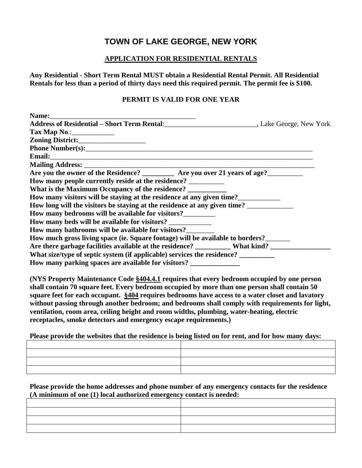## **TOWN OF LAKE GEORGE, NEW YORK**

## **APPLICATION FOR RESIDENTIAL RENTALS**

**Any Residential - Short Term Rental MUST obtain a Residential Rental Permit. All Residential Rentals for less than a period of thirty days need this required permit. The permit fee is \$100.**

## **PERMIT IS VALID FOR ONE YEAR**

| Name:                                                                               |  |
|-------------------------------------------------------------------------------------|--|
|                                                                                     |  |
|                                                                                     |  |
|                                                                                     |  |
|                                                                                     |  |
|                                                                                     |  |
|                                                                                     |  |
| Are you the owner of the Residence? _________ Are you over 21 years of age?________ |  |
|                                                                                     |  |
| What is the Maximum Occupancy of the residence?                                     |  |
| How many visitors will be staying at the residence at any given time?               |  |
| How long will the visitors be staying at the residence at any given time?           |  |
| How many bedrooms will be available for visitors?                                   |  |
| How many beds will be available for visitors? ____________                          |  |
| How many bathrooms will be available for visitors?                                  |  |
| How much gross living space (ie. Square footage) will be available to borders?      |  |
|                                                                                     |  |
| What size/type of septic system (if applicable) services the residence?             |  |
| How many parking spaces are available for visitors? _____________________________   |  |

**(NYS Property Maintenance Code §404.4.1 requires that every bedroom occupied by one person shall contain 70 square feet. Every bedroom occupied by more than one person shall contain 50 square feet for each occupant. §404 requires bedrooms have access to a water closet and lavatory without passing through another bedroom; and bedrooms shall comply with requirements for light, ventilation, room area, ceiling height and room widths, plumbing, water-heating, electric receptacles, smoke detectors and emergency escape requirements.)**

**Please provide the websites that the residence is being listed on for rent, and for how many days:**

| <u>state and the state of the state and the state of the state of the state of the state of the state of the state of the state of the state of the state of the state of the state of the state of the state of the state of th</u> |  |
|--------------------------------------------------------------------------------------------------------------------------------------------------------------------------------------------------------------------------------------|--|
| <u> 1989 - Andrea Stadt Britain, amerikansk politiker (d. 1989)</u>                                                                                                                                                                  |  |

**Please provide the home addresses and phone number of any emergency contacts for the residence (A minimum of one (1) local authorized emergency contact is needed:**

| <u> 1989 - Andrea Santa Andrea Andrea Andrea Andrea Andrea Andrea Andrea Andrea Andrea Andrea Andrea Andrea Andr</u> |  |
|----------------------------------------------------------------------------------------------------------------------|--|
| <u> 1989 - Andrea Stadt Britain, amerikansk politiker (d. 1989)</u>                                                  |  |
|                                                                                                                      |  |